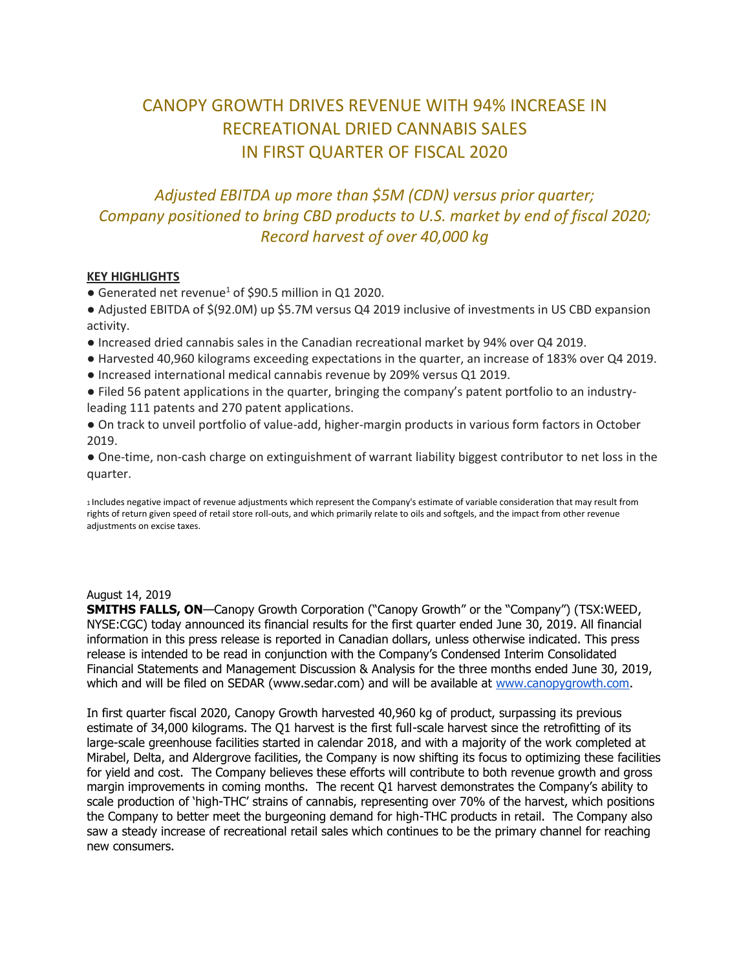# CANOPY GROWTH DRIVES REVENUE WITH 94% INCREASE IN RECREATIONAL DRIED CANNABIS SALES IN FIRST QUARTER OF FISCAL 2020

## *Adjusted EBITDA up more than \$5M (CDN) versus prior quarter; Company positioned to bring CBD products to U.S. market by end of fiscal 2020; Record harvest of over 40,000 kg*

### **KEY HIGHLIGHTS**

- Generated net revenue<sup>1</sup> of \$90.5 million in Q1 2020.
- Adjusted EBITDA of \$(92.0M) up \$5.7M versus Q4 2019 inclusive of investments in US CBD expansion activity.
- Increased dried cannabis sales in the Canadian recreational market by 94% over Q4 2019.
- Harvested 40,960 kilograms exceeding expectations in the quarter, an increase of 183% over Q4 2019.
- Increased international medical cannabis revenue by 209% versus Q1 2019.
- Filed 56 patent applications in the quarter, bringing the company's patent portfolio to an industryleading 111 patents and 270 patent applications.
- On track to unveil portfolio of value-add, higher-margin products in various form factors in October 2019.

● One-time, non-cash charge on extinguishment of warrant liability biggest contributor to net loss in the quarter.

<sup>1</sup>Includes negative impact of revenue adjustments which represent the Company's estimate of variable consideration that may result from rights of return given speed of retail store roll-outs, and which primarily relate to oils and softgels, and the impact from other revenue adiustments on excise taxes.

#### August 14, 2019

**SMITHS FALLS, ON**—Canopy Growth Corporation ("Canopy Growth" or the "Company") (TSX:WEED, NYSE:CGC) today announced its financial results for the first quarter ended June 30, 2019. All financial information in this press release is reported in Canadian dollars, unless otherwise indicated. This press release is intended to be read in conjunction with the Company's Condensed Interim Consolidated Financial Statements and Management Discussion & Analysis for the three months ended June 30, 2019, which and will be filed on SEDAR (www.sedar.com) and will be available at [www.canopygrowth.com.](http://www.canopygrowth.com/)

In first quarter fiscal 2020, Canopy Growth harvested 40,960 kg of product, surpassing its previous estimate of 34,000 kilograms. The Q1 harvest is the first full-scale harvest since the retrofitting of its large-scale greenhouse facilities started in calendar 2018, and with a majority of the work completed at Mirabel, Delta, and Aldergrove facilities, the Company is now shifting its focus to optimizing these facilities for yield and cost. The Company believes these efforts will contribute to both revenue growth and gross margin improvements in coming months. The recent Q1 harvest demonstrates the Company's ability to scale production of 'high-THC' strains of cannabis, representing over 70% of the harvest, which positions the Company to better meet the burgeoning demand for high-THC products in retail. The Company also saw a steady increase of recreational retail sales which continues to be the primary channel for reaching new consumers.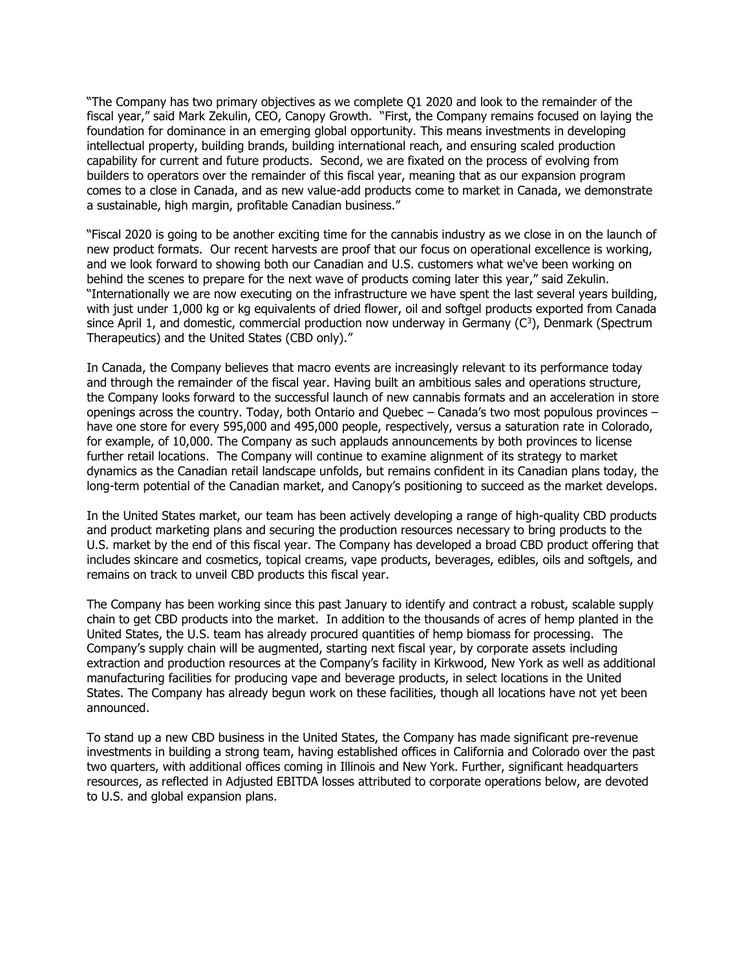"The Company has two primary objectives as we complete Q1 2020 and look to the remainder of the fiscal year," said Mark Zekulin, CEO, Canopy Growth. "First, the Company remains focused on laying the foundation for dominance in an emerging global opportunity. This means investments in developing intellectual property, building brands, building international reach, and ensuring scaled production capability for current and future products. Second, we are fixated on the process of evolving from builders to operators over the remainder of this fiscal year, meaning that as our expansion program comes to a close in Canada, and as new value-add products come to market in Canada, we demonstrate a sustainable, high margin, profitable Canadian business."

"Fiscal 2020 is going to be another exciting time for the cannabis industry as we close in on the launch of new product formats. Our recent harvests are proof that our focus on operational excellence is working, and we look forward to showing both our Canadian and U.S. customers what we've been working on behind the scenes to prepare for the next wave of products coming later this year," said Zekulin. "Internationally we are now executing on the infrastructure we have spent the last several years building, with just under 1,000 kg or kg equivalents of dried flower, oil and softgel products exported from Canada since April 1, and domestic, commercial production now underway in Germany  $(C^3)$ , Denmark (Spectrum Therapeutics) and the United States (CBD only)."

In Canada, the Company believes that macro events are increasingly relevant to its performance today and through the remainder of the fiscal year. Having built an ambitious sales and operations structure, the Company looks forward to the successful launch of new cannabis formats and an acceleration in store openings across the country. Today, both Ontario and Quebec – Canada's two most populous provinces – have one store for every 595,000 and 495,000 people, respectively, versus a saturation rate in Colorado, for example, of 10,000. The Company as such applauds announcements by both provinces to license further retail locations. The Company will continue to examine alignment of its strategy to market dynamics as the Canadian retail landscape unfolds, but remains confident in its Canadian plans today, the long-term potential of the Canadian market, and Canopy's positioning to succeed as the market develops.

In the United States market, our team has been actively developing a range of high-quality CBD products and product marketing plans and securing the production resources necessary to bring products to the U.S. market by the end of this fiscal year. The Company has developed a broad CBD product offering that includes skincare and cosmetics, topical creams, vape products, beverages, edibles, oils and softgels, and remains on track to unveil CBD products this fiscal year.

The Company has been working since this past January to identify and contract a robust, scalable supply chain to get CBD products into the market. In addition to the thousands of acres of hemp planted in the United States, the U.S. team has already procured quantities of hemp biomass for processing. The Company's supply chain will be augmented, starting next fiscal year, by corporate assets including extraction and production resources at the Company's facility in Kirkwood, New York as well as additional manufacturing facilities for producing vape and beverage products, in select locations in the United States. The Company has already begun work on these facilities, though all locations have not yet been announced.

To stand up a new CBD business in the United States, the Company has made significant pre-revenue investments in building a strong team, having established offices in California and Colorado over the past two quarters, with additional offices coming in Illinois and New York. Further, significant headquarters resources, as reflected in Adjusted EBITDA losses attributed to corporate operations below, are devoted to U.S. and global expansion plans.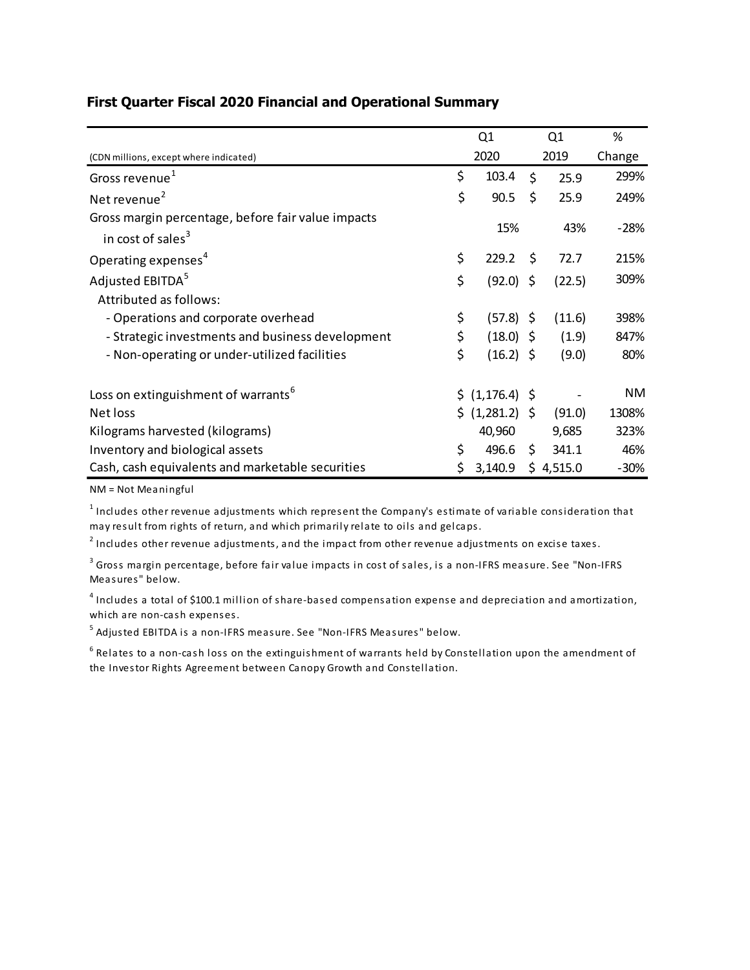|                                                                                     | Q1                | Q1   |           | %         |
|-------------------------------------------------------------------------------------|-------------------|------|-----------|-----------|
| (CDN millions, except where indicated)                                              | 2020              | 2019 |           | Change    |
| Gross revenue <sup>1</sup>                                                          | \$<br>103.4       | Ś.   | 25.9      | 299%      |
| Net revenue <sup>2</sup>                                                            | \$<br>90.5        | \$   | 25.9      | 249%      |
| Gross margin percentage, before fair value impacts<br>in cost of sales <sup>3</sup> | 15%               |      | 43%       | $-28%$    |
| Operating expenses <sup>4</sup>                                                     | \$<br>229.2       | - \$ | 72.7      | 215%      |
| Adjusted EBITDA <sup>5</sup>                                                        | \$<br>(92.0)      | \$   | (22.5)    | 309%      |
| Attributed as follows:                                                              |                   |      |           |           |
| - Operations and corporate overhead                                                 | \$<br>$(57.8)$ \$ |      | (11.6)    | 398%      |
| - Strategic investments and business development                                    | \$<br>$(18.0)$ \$ |      | (1.9)     | 847%      |
| - Non-operating or under-utilized facilities                                        | \$<br>$(16.2)$ \$ |      | (9.0)     | 80%       |
| Loss on extinguishment of warrants <sup>6</sup>                                     | \$(1, 176.4) \$   |      |           | <b>NM</b> |
| Net loss                                                                            | \$ (1,281.2) \$   |      | (91.0)    | 1308%     |
| Kilograms harvested (kilograms)                                                     | 40,960            |      | 9,685     | 323%      |
| Inventory and biological assets                                                     | \$<br>496.6       | \$   | 341.1     | 46%       |
| Cash, cash equivalents and marketable securities                                    | 3,140.9           |      | \$4,515.0 | $-30%$    |

### **First Quarter Fiscal 2020 Financial and Operational Summary**

NM = Not Meaningful

 $^{\rm 1}$  Includes other revenue adjustments which represent the Company's estimate of variable consideration that may result from rights of return, and which primarily relate to oils and gelcaps.

 $^{\text{2}}$  Includes other revenue adjustments, and the impact from other revenue adjustments on excise taxes.

 $^{\rm 3}$  Gross margin percentage, before fair value impacts in cost of sales, is a non-IFRS measure. See "Non-IFRS Measures" below.

 $^{\text{4}}$  Includes a total of \$100.1 million of share-based compensation expense and depreciation and amortization, which are non-cash expenses.

 $^{\rm 5}$  Adjusted EBITDA is a non-IFRS measure. See "Non-IFRS Measures" below.

 $^6$  Relates to a non-cash loss on the extinguishment of warrants held by Constellation upon the amendment of the Investor Rights Agreement between Canopy Growth and Constellation.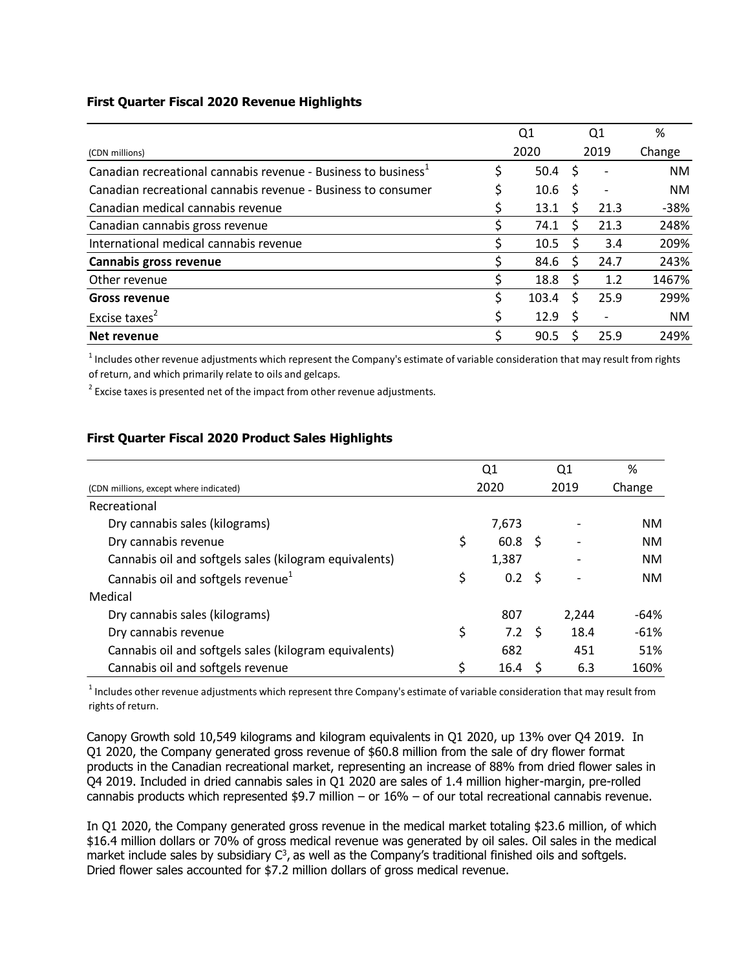#### **First Quarter Fiscal 2020 Revenue Highlights**

|                                                                            |   | Q1    |   | Q1   | %         |
|----------------------------------------------------------------------------|---|-------|---|------|-----------|
| (CDN millions)                                                             |   | 2020  |   | 2019 | Change    |
| Canadian recreational cannabis revenue - Business to business <sup>1</sup> |   | 50.4  | S |      | <b>NM</b> |
| Canadian recreational cannabis revenue - Business to consumer              |   | 10.6  |   |      | <b>NM</b> |
| Canadian medical cannabis revenue                                          |   | 13.1  | S | 21.3 | $-38%$    |
| Canadian cannabis gross revenue                                            |   | 74.1  | S | 21.3 | 248%      |
| International medical cannabis revenue                                     |   | 10.5  | S | 3.4  | 209%      |
| Cannabis gross revenue                                                     |   | 84.6  | Ś | 24.7 | 243%      |
| Other revenue                                                              |   | 18.8  | S | 1.2  | 1467%     |
| <b>Gross revenue</b>                                                       | Ś | 103.4 | Ś | 25.9 | 299%      |
| Excise taxes <sup>2</sup>                                                  |   | 12.9  |   |      | <b>NM</b> |
| Net revenue                                                                |   | 90.5  |   | 25.9 | 249%      |

 $^1$  Includes other revenue adjustments which represent the Company's estimate of variable consideration that may result from rights of return, and which primarily relate to oils and gelcaps.

 $2$  Excise taxes is presented net of the impact from other revenue adjustments.

### **First Quarter Fiscal 2020 Product Sales Highlights**

|                                                        | Q <sub>1</sub>       | Q1    | %      |
|--------------------------------------------------------|----------------------|-------|--------|
| (CDN millions, except where indicated)                 | 2020                 | 2019  | Change |
| Recreational                                           |                      |       |        |
| Dry cannabis sales (kilograms)                         | 7,673                |       | NM.    |
| Dry cannabis revenue                                   | \$<br>$60.8 \quad $$ |       | NM.    |
| Cannabis oil and softgels sales (kilogram equivalents) | 1,387                |       | NM.    |
| Cannabis oil and softgels revenue <sup>1</sup>         | \$<br>$0.2 \quad$ \$ |       | NM.    |
| Medical                                                |                      |       |        |
| Dry cannabis sales (kilograms)                         | 807                  | 2,244 | $-64%$ |
| Dry cannabis revenue                                   | \$<br>$7.2 \quad$    | 18.4  | $-61%$ |
| Cannabis oil and softgels sales (kilogram equivalents) | 682                  | 451   | 51%    |
| Cannabis oil and softgels revenue                      | \$<br>16.4           | 6.3   | 160%   |

 $1$  Includes other revenue adjustments which represent thre Company's estimate of variable consideration that may result from rights of return.

Canopy Growth sold 10,549 kilograms and kilogram equivalents in Q1 2020, up 13% over Q4 2019. In Q1 2020, the Company generated gross revenue of \$60.8 million from the sale of dry flower format products in the Canadian recreational market, representing an increase of 88% from dried flower sales in Q4 2019. Included in dried cannabis sales in Q1 2020 are sales of 1.4 million higher-margin, pre-rolled cannabis products which represented \$9.7 million – or 16% – of our total recreational cannabis revenue.

In Q1 2020, the Company generated gross revenue in the medical market totaling \$23.6 million, of which \$16.4 million dollars or 70% of gross medical revenue was generated by oil sales. Oil sales in the medical market include sales by subsidiary  $C^3$ , as well as the Company's traditional finished oils and softgels. Dried flower sales accounted for \$7.2 million dollars of gross medical revenue.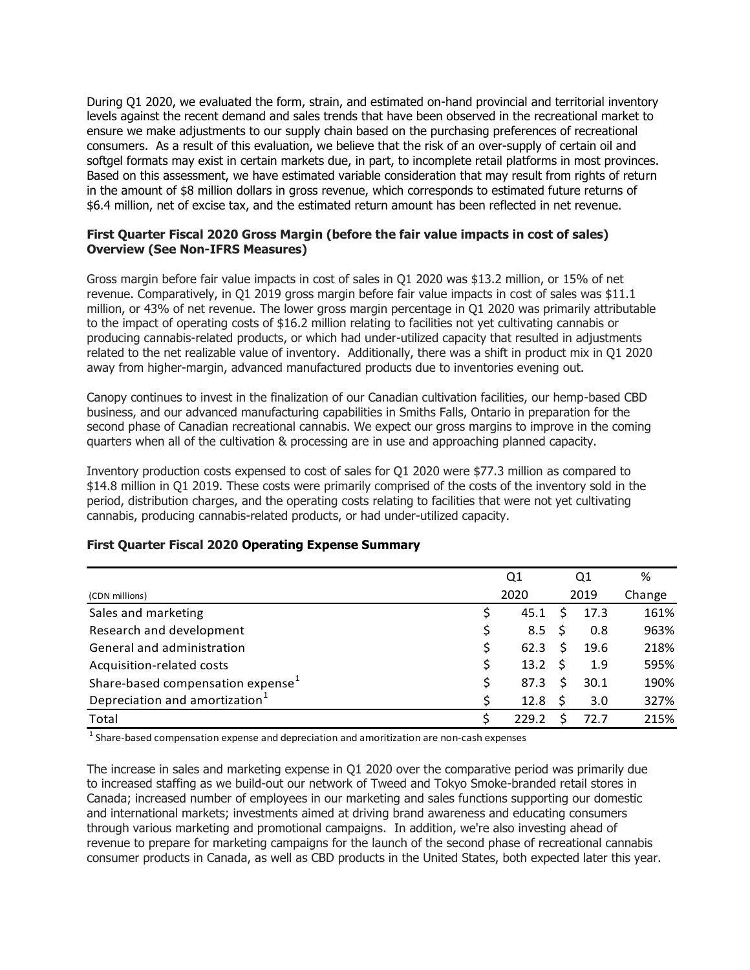During Q1 2020, we evaluated the form, strain, and estimated on-hand provincial and territorial inventory levels against the recent demand and sales trends that have been observed in the recreational market to ensure we make adjustments to our supply chain based on the purchasing preferences of recreational consumers. As a result of this evaluation, we believe that the risk of an over-supply of certain oil and softgel formats may exist in certain markets due, in part, to incomplete retail platforms in most provinces. Based on this assessment, we have estimated variable consideration that may result from rights of return in the amount of \$8 million dollars in gross revenue, which corresponds to estimated future returns of \$6.4 million, net of excise tax, and the estimated return amount has been reflected in net revenue.

#### **First Quarter Fiscal 2020 Gross Margin (before the fair value impacts in cost of sales) Overview (See Non-IFRS Measures)**

Gross margin before fair value impacts in cost of sales in Q1 2020 was \$13.2 million, or 15% of net revenue. Comparatively, in Q1 2019 gross margin before fair value impacts in cost of sales was \$11.1 million, or 43% of net revenue. The lower gross margin percentage in Q1 2020 was primarily attributable to the impact of operating costs of \$16.2 million relating to facilities not yet cultivating cannabis or producing cannabis-related products, or which had under-utilized capacity that resulted in adjustments related to the net realizable value of inventory. Additionally, there was a shift in product mix in Q1 2020 away from higher-margin, advanced manufactured products due to inventories evening out.

Canopy continues to invest in the finalization of our Canadian cultivation facilities, our hemp-based CBD business, and our advanced manufacturing capabilities in Smiths Falls, Ontario in preparation for the second phase of Canadian recreational cannabis. We expect our gross margins to improve in the coming quarters when all of the cultivation & processing are in use and approaching planned capacity.

Inventory production costs expensed to cost of sales for Q1 2020 were \$77.3 million as compared to \$14.8 million in Q1 2019. These costs were primarily comprised of the costs of the inventory sold in the period, distribution charges, and the operating costs relating to facilities that were not yet cultivating cannabis, producing cannabis-related products, or had under-utilized capacity.

|                                               |   | Q1    |    | Q1   | %      |
|-----------------------------------------------|---|-------|----|------|--------|
| (CDN millions)                                |   | 2020  |    | 2019 | Change |
| Sales and marketing                           | S | 45.1  | Ŝ  | 17.3 | 161%   |
| Research and development                      |   | 8.5   |    | 0.8  | 963%   |
| General and administration                    | S | 62.3  | S  | 19.6 | 218%   |
| Acquisition-related costs                     |   | 13.2  | Ŝ. | 1.9  | 595%   |
| Share-based compensation expense <sup>1</sup> |   | 87.3  | S  | 30.1 | 190%   |
| Depreciation and amortization <sup>1</sup>    | S | 12.8  |    | 3.0  | 327%   |
| Total                                         |   | 229.2 |    | 72.7 | 215%   |

#### **First Quarter Fiscal 2020 Operating Expense Summary**

 $^1$  Share-based compensation expense and depreciation and amoritization are non-cash expenses

The increase in sales and marketing expense in Q1 2020 over the comparative period was primarily due to increased staffing as we build-out our network of Tweed and Tokyo Smoke-branded retail stores in Canada; increased number of employees in our marketing and sales functions supporting our domestic and international markets; investments aimed at driving brand awareness and educating consumers through various marketing and promotional campaigns. In addition, we're also investing ahead of revenue to prepare for marketing campaigns for the launch of the second phase of recreational cannabis consumer products in Canada, as well as CBD products in the United States, both expected later this year.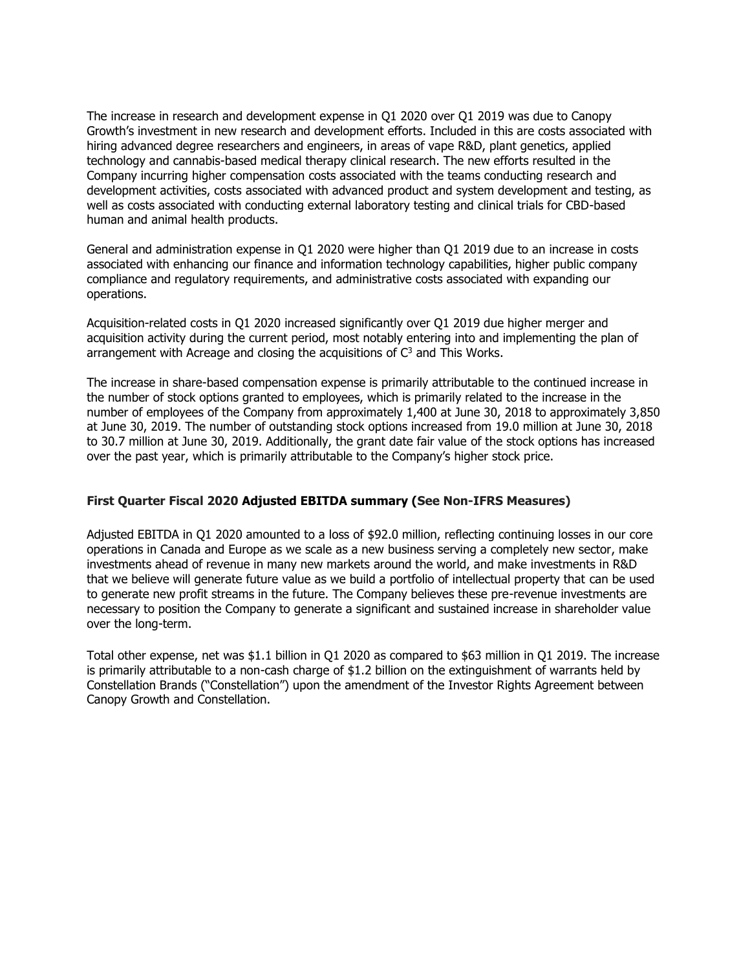The increase in research and development expense in Q1 2020 over Q1 2019 was due to Canopy Growth's investment in new research and development efforts. Included in this are costs associated with hiring advanced degree researchers and engineers, in areas of vape R&D, plant genetics, applied technology and cannabis-based medical therapy clinical research. The new efforts resulted in the Company incurring higher compensation costs associated with the teams conducting research and development activities, costs associated with advanced product and system development and testing, as well as costs associated with conducting external laboratory testing and clinical trials for CBD-based human and animal health products.

General and administration expense in Q1 2020 were higher than Q1 2019 due to an increase in costs associated with enhancing our finance and information technology capabilities, higher public company compliance and regulatory requirements, and administrative costs associated with expanding our operations.

Acquisition-related costs in Q1 2020 increased significantly over Q1 2019 due higher merger and acquisition activity during the current period, most notably entering into and implementing the plan of arrangement with Acreage and closing the acquisitions of  $C<sup>3</sup>$  and This Works.

The increase in share-based compensation expense is primarily attributable to the continued increase in the number of stock options granted to employees, which is primarily related to the increase in the number of employees of the Company from approximately 1,400 at June 30, 2018 to approximately 3,850 at June 30, 2019. The number of outstanding stock options increased from 19.0 million at June 30, 2018 to 30.7 million at June 30, 2019. Additionally, the grant date fair value of the stock options has increased over the past year, which is primarily attributable to the Company's higher stock price.

#### **First Quarter Fiscal 2020 Adjusted EBITDA summary (See Non-IFRS Measures)**

Adjusted EBITDA in Q1 2020 amounted to a loss of \$92.0 million, reflecting continuing losses in our core operations in Canada and Europe as we scale as a new business serving a completely new sector, make investments ahead of revenue in many new markets around the world, and make investments in R&D that we believe will generate future value as we build a portfolio of intellectual property that can be used to generate new profit streams in the future. The Company believes these pre-revenue investments are necessary to position the Company to generate a significant and sustained increase in shareholder value over the long-term.

Total other expense, net was \$1.1 billion in Q1 2020 as compared to \$63 million in Q1 2019. The increase is primarily attributable to a non-cash charge of \$1.2 billion on the extinguishment of warrants held by Constellation Brands ("Constellation") upon the amendment of the Investor Rights Agreement between Canopy Growth and Constellation.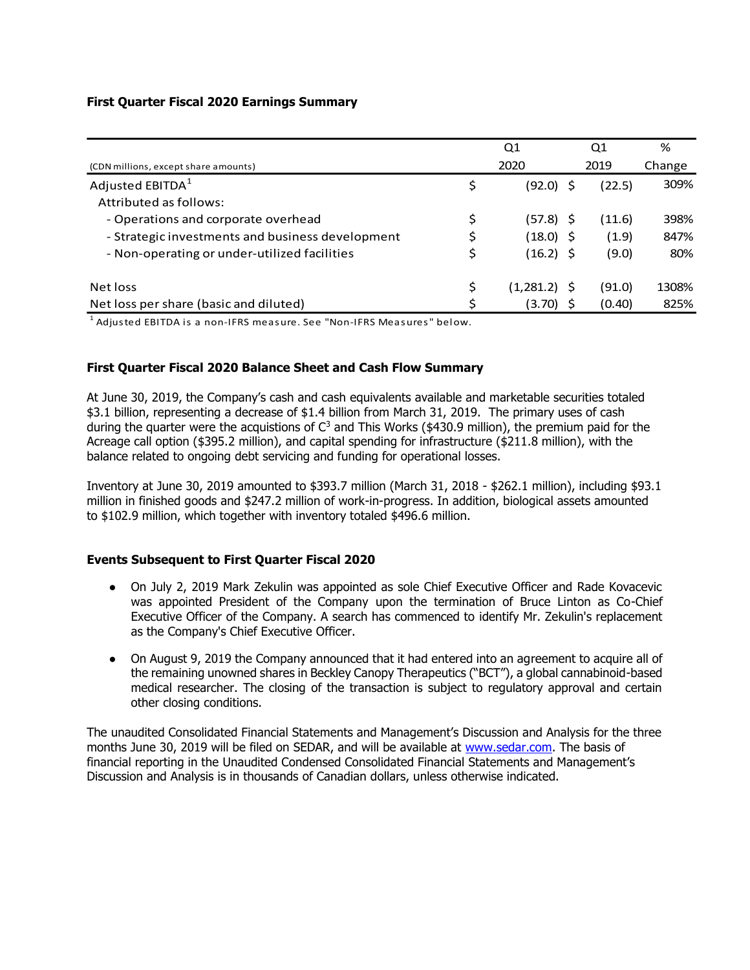#### **First Quarter Fiscal 2020 Earnings Summary**

|                                                  | Q1              | Q1     | %      |
|--------------------------------------------------|-----------------|--------|--------|
| (CDN millions, except share amounts)             | 2020            | 2019   | Change |
| Adjusted EBITDA <sup>1</sup>                     | \$<br>(92.0)    | (22.5) | 309%   |
| Attributed as follows:                           |                 |        |        |
| - Operations and corporate overhead              | \$<br>(57.8) \$ | (11.6) | 398%   |
| - Strategic investments and business development | (18.0) \$       | (1.9)  | 847%   |
| - Non-operating or under-utilized facilities     | \$<br>(16.2) \$ | (9.0)  | 80%    |
| Net loss                                         | $(1,281.2)$ \$  | (91.0) | 1308%  |
| Net loss per share (basic and diluted)           | (3.70)          | (0.40) | 825%   |

 $^{\rm 1}$  Adjusted EBITDA is a non-IFRS measure. See "Non-IFRS Measures" below.

### **First Quarter Fiscal 2020 Balance Sheet and Cash Flow Summary**

At June 30, 2019, the Company's cash and cash equivalents available and marketable securities totaled \$3.1 billion, representing a decrease of \$1.4 billion from March 31, 2019. The primary uses of cash during the quarter were the acquistions of  $C<sup>3</sup>$  and This Works (\$430.9 million), the premium paid for the Acreage call option (\$395.2 million), and capital spending for infrastructure (\$211.8 million), with the balance related to ongoing debt servicing and funding for operational losses.

Inventory at June 30, 2019 amounted to \$393.7 million (March 31, 2018 - \$262.1 million), including \$93.1 million in finished goods and \$247.2 million of work-in-progress. In addition, biological assets amounted to \$102.9 million, which together with inventory totaled \$496.6 million.

#### **Events Subsequent to First Quarter Fiscal 2020**

- On July 2, 2019 Mark Zekulin was appointed as sole Chief Executive Officer and Rade Kovacevic was appointed President of the Company upon the termination of Bruce Linton as Co-Chief Executive Officer of the Company. A search has commenced to identify Mr. Zekulin's replacement as the Company's Chief Executive Officer.
- On August 9, 2019 the Company announced that it had entered into an agreement to acquire all of the remaining unowned shares in Beckley Canopy Therapeutics ("BCT"), a global cannabinoid-based medical researcher. The closing of the transaction is subject to regulatory approval and certain other closing conditions.

The unaudited Consolidated Financial Statements and Management's Discussion and Analysis for the three months June 30, 2019 will be filed on SEDAR, and will be available at [www.sedar.com.](http://www.sedar.com/) The basis of financial reporting in the Unaudited Condensed Consolidated Financial Statements and Management's Discussion and Analysis is in thousands of Canadian dollars, unless otherwise indicated.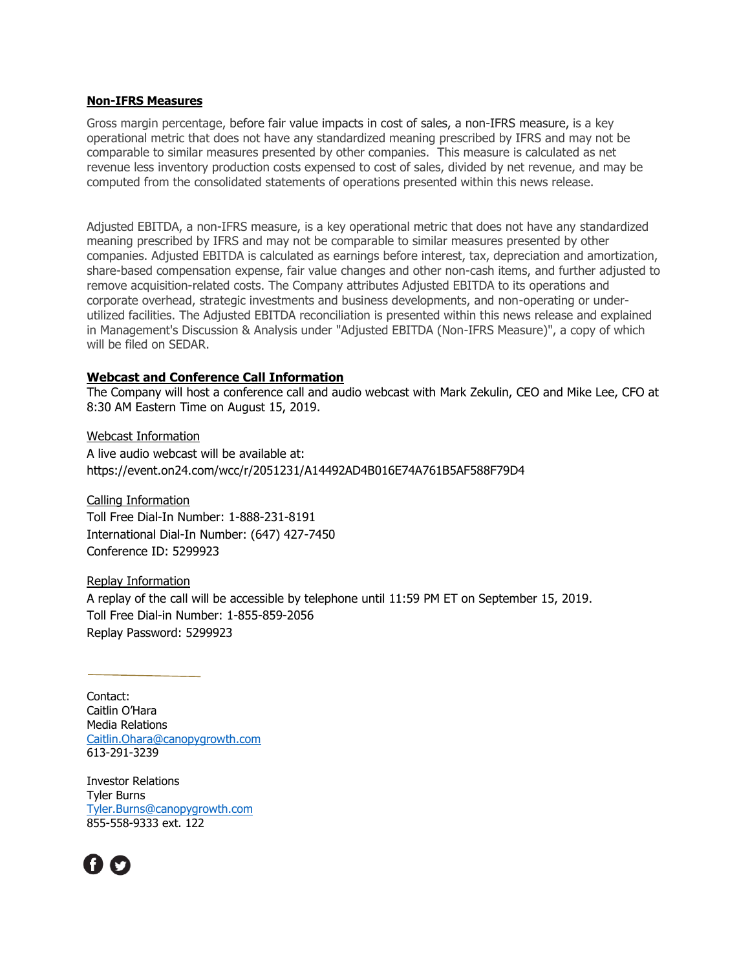#### **Non-IFRS Measures**

Gross margin percentage, before fair value impacts in cost of sales, a non-IFRS measure, is a key operational metric that does not have any standardized meaning prescribed by IFRS and may not be comparable to similar measures presented by other companies. This measure is calculated as net revenue less inventory production costs expensed to cost of sales, divided by net revenue, and may be computed from the consolidated statements of operations presented within this news release.

Adjusted EBITDA, a non-IFRS measure, is a key operational metric that does not have any standardized meaning prescribed by IFRS and may not be comparable to similar measures presented by other companies. Adjusted EBITDA is calculated as earnings before interest, tax, depreciation and amortization, share-based compensation expense, fair value changes and other non-cash items, and further adjusted to remove acquisition-related costs. The Company attributes Adjusted EBITDA to its operations and corporate overhead, strategic investments and business developments, and non-operating or underutilized facilities. The Adjusted EBITDA reconciliation is presented within this news release and explained in Management's Discussion & Analysis under "Adjusted EBITDA (Non-IFRS Measure)", a copy of which will be filed on SEDAR.

#### **Webcast and Conference Call Information**

The Company will host a conference call and audio webcast with Mark Zekulin, CEO and Mike Lee, CFO at 8:30 AM Eastern Time on August 15, 2019.

Webcast Information A live audio webcast will be available at: https://event.on24.com/wcc/r/2051231/A14492AD4B016E74A761B5AF588F79D4

Calling Information Toll Free Dial-In Number: 1-888-231-8191 International Dial-In Number: (647) 427-7450 Conference ID: 5299923

Replay Information A replay of the call will be accessible by telephone until 11:59 PM ET on September 15, 2019. Toll Free Dial-in Number: 1-855-859-2056 Replay Password: 5299923

Contact: Caitlin O'Hara Media Relations [Caitlin.Ohara@canopygrowth.com](mailto:Caitlin.Ohara@canopygrowth.com) 613-291-3239

Investor Relations Tyler Burns [Tyler.Burns@canopygrowth.com](mailto:Tyler.Burns@canopygrowth.com) 855-558-9333 ext. 122

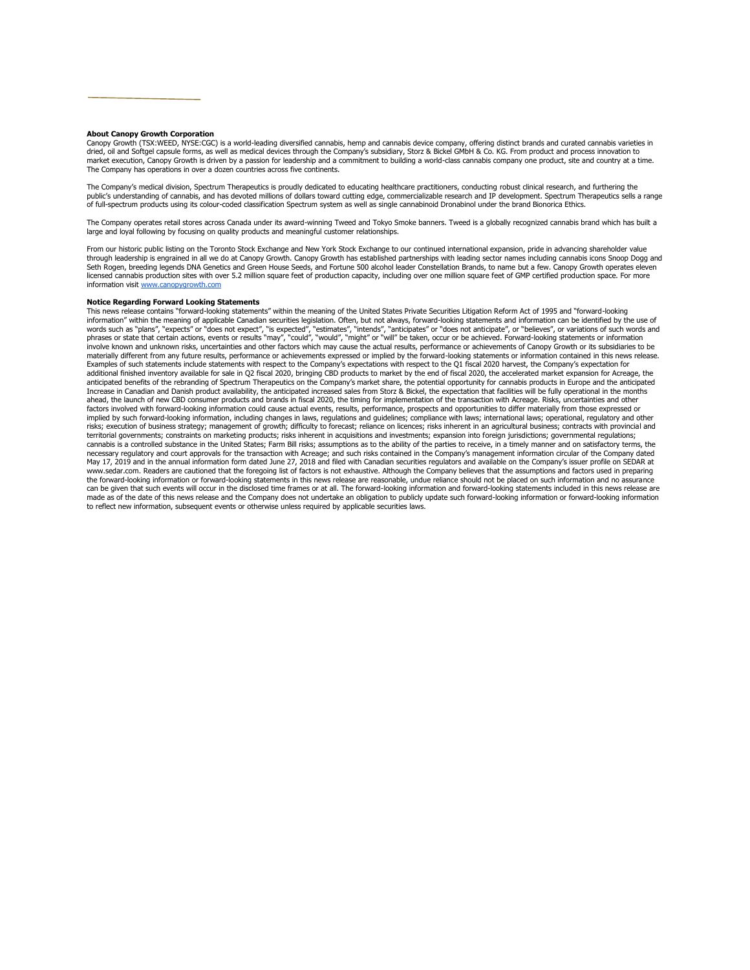#### **About Canopy Growth Corporation**

Canopy Growth (TSX:WEED, NYSE:CGC) is a world-leading diversified cannabis, hemp and cannabis device company, offering distinct brands and curated cannabis varieties in dried, oil and Softgel capsule forms, as well as medical devices through the Company's subsidiary, Storz & Bickel GMbH & Co. KG. From product and process innovation to market execution, Canopy Growth is driven by a passion for leadership and a commitment to building a world-class cannabis company one product, site and country at a time. The Company has operations in over a dozen countries across five continents.

The Company's medical division, Spectrum Therapeutics is proudly dedicated to educating healthcare practitioners, conducting robust clinical research, and furthering the public's understanding of cannabis, and has devoted millions of dollars toward cutting edge, commercializable research and IP development. Spectrum Therapeutics sells a range<br>of full-spectrum products using its colour-code

The Company operates retail stores across Canada under its award-winning Tweed and Tokyo Smoke banners. Tweed is a globally recognized cannabis brand which has built a large and loyal following by focusing on quality products and meaningful customer relationships.

From our historic public listing on the Toronto Stock Exchange and New York Stock Exchange to our continued international expansion, pride in advancing shareholder value through leadership is engrained in all we do at Canopy Growth. Canopy Growth has established partnerships with leading sector names including cannabis icons Snoop Dogg and Seth Rogen, breeding legends DNA Genetics and Green House Seeds, and Fortune 500 alcohol leader Constellation Brands, to name but a few. Canopy Growth operates eleven<br>licensed cannabis production sites with over 5.2 millio information visit www.cano

#### **Notice Regarding Forward Looking Statements**

This news release contains "forward-looking statements" within the meaning of the United States Private Securities Litigation Reform Act of 1995 and "forward-looking information" within the meaning of applicable Canadian securities legislation. Often, but not always, forward-looking statements and information can be identified by the use of<br>phrases or state that certain actions, events materially different from any future results, performance or achievements expressed or implied by the forward-looking statements or information contained in this news release. Examples of such statements include statements with respect to the Company's expectations with respect to the Q1 fiscal 2020 harvest, the Company's expectation for additional finished inventory available for sale in Q2 fiscal 2020, bringing CBD products to market by the end of fiscal 2020, the accelerated market expansion for Acreage, the<br>anticipated benefits of the rebranding of Spe Increase in Canadian and Danish product availability, the anticipated increased sales from Storz & Bickel, the expectation that facilities will be fully operational in the months ahead, the launch of new CBD consumer products and brands in fiscal 2020, the timing for implementation of the transaction with Acreage. Risks, uncertainties and other factors involved with forward-looking information could cause actual events, results, performance, prospects and opportunities to differ materially from those expressed or implied by such forward-looking information, including changes in laws, regulations and guidelines; compliance with laws; international laws; operational, regulatory and other risks; execution of business strategy; management of growth; difficulty to forecast; reliance on licences; risks inherent in an agricultural business; contracts with provincial and territorial governments; constraints on marketing products; risks inherent in acquisitions and investments; expansion into foreign jurisdictions; governmental regulations; cannabis is a controlled substance in the United States; Farm Bill risks; assumptions as to the ability of the parties to receive, in a timely manner and on satisfactory terms, the<br>necessary regulatory and court approvals May 17, 2019 and in the annual information form dated June 27, 2018 and filed with Canadian securities regulators and available on the Company's issuer profile on SEDAR at www.sedar.com. Readers are cautioned that the foregoing list of factors is not exhaustive. Although the Company believes that the assumptions and factors used in preparing the forward-looking information or forward-looking statements in this news release are reasonable, undue reliance should not be placed on such information and no assurance can be given that such events will occur in the disclosed time frames or at all. The forward-looking information and forward-looking statements included in this news release are made as of the date of this news release and the Company does not undertake an obligation to publicly update such forward-looking information or forward-looking information to reflect new information, subsequent events or otherwise unless required by applicable securities laws.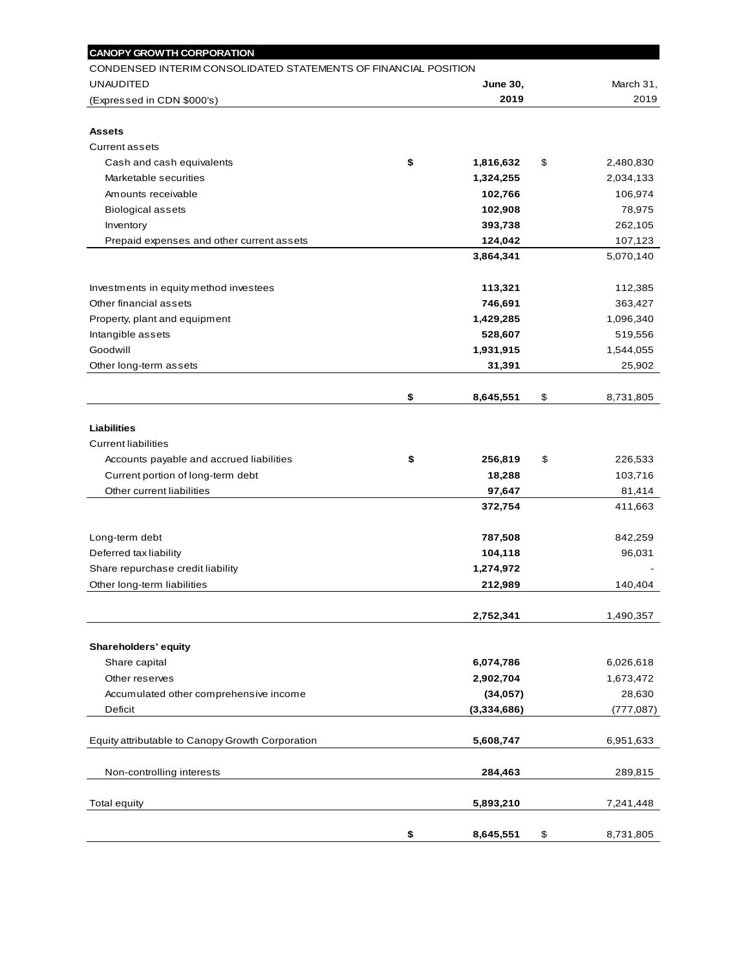| <b>CANOPY GROWTH CORPORATION</b>                                |                 |                 |
|-----------------------------------------------------------------|-----------------|-----------------|
| CONDENSED INTERIM CONSOLIDATED STATEMENTS OF FINANCIAL POSITION |                 |                 |
| <b>UNAUDITED</b>                                                | <b>June 30,</b> | March 31,       |
| (Expressed in CDN \$000's)                                      | 2019            | 2019            |
|                                                                 |                 |                 |
| <b>Assets</b>                                                   |                 |                 |
| <b>Current assets</b>                                           |                 |                 |
| Cash and cash equivalents                                       | \$<br>1,816,632 | \$<br>2,480,830 |
| Marketable securities                                           | 1,324,255       | 2,034,133       |
| Amounts receivable                                              | 102,766         | 106,974         |
| <b>Biological assets</b>                                        | 102,908         | 78,975          |
| Inventory                                                       | 393,738         | 262,105         |
| Prepaid expenses and other current assets                       | 124,042         | 107,123         |
|                                                                 | 3,864,341       | 5,070,140       |
| Investments in equity method investees                          | 113,321         | 112,385         |
| Other financial assets                                          | 746,691         | 363,427         |
| Property, plant and equipment                                   | 1,429,285       | 1,096,340       |
| Intangible assets                                               | 528,607         | 519,556         |
| Goodwill                                                        | 1,931,915       | 1,544,055       |
| Other long-term assets                                          | 31,391          | 25,902          |
|                                                                 |                 |                 |
|                                                                 | \$<br>8,645,551 | \$<br>8,731,805 |
|                                                                 |                 |                 |
| <b>Liabilities</b>                                              |                 |                 |
| <b>Current liabilities</b>                                      |                 |                 |
| Accounts payable and accrued liabilities                        | \$<br>256,819   | \$<br>226,533   |
| Current portion of long-term debt                               | 18,288          | 103,716         |
| Other current liabilities                                       | 97,647          | 81,414          |
|                                                                 | 372,754         | 411,663         |
| Long-term debt                                                  | 787,508         | 842,259         |
| Deferred tax liability                                          | 104,118         | 96,031          |
| Share repurchase credit liability                               | 1,274,972       |                 |
| Other long-term liabilities                                     | 212,989         | 140,404         |
|                                                                 |                 |                 |
|                                                                 | 2,752,341       | 1,490,357       |
| Shareholders' equity                                            |                 |                 |
| Share capital                                                   | 6,074,786       | 6,026,618       |
| Other reserves                                                  | 2,902,704       | 1,673,472       |
| Accumulated other comprehensive income                          | (34, 057)       | 28,630          |
| Deficit                                                         | (3,334,686)     | (777, 087)      |
| Equity attributable to Canopy Growth Corporation                | 5,608,747       | 6,951,633       |
| Non-controlling interests                                       | 284,463         | 289,815         |
| <b>Total equity</b>                                             | 5,893,210       | 7,241,448       |
|                                                                 |                 |                 |
|                                                                 | \$<br>8,645,551 | \$<br>8,731,805 |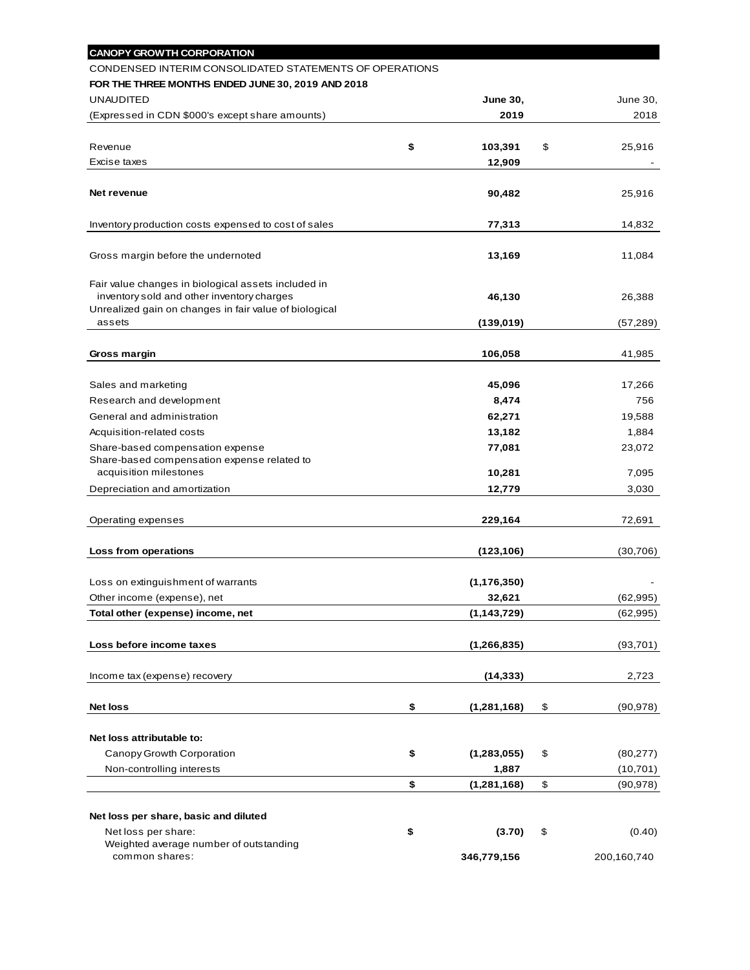| <b>CANOPY GROWTH CORPORATION</b>                                                                     |                     |                 |
|------------------------------------------------------------------------------------------------------|---------------------|-----------------|
| CONDENSED INTERIM CONSOLIDATED STATEMENTS OF OPERATIONS                                              |                     |                 |
| FOR THE THREE MONTHS ENDED JUNE 30, 2019 AND 2018                                                    |                     |                 |
| <b>UNAUDITED</b>                                                                                     | <b>June 30,</b>     | June 30,        |
| (Expressed in CDN \$000's except share amounts)                                                      | 2019                | 2018            |
|                                                                                                      |                     |                 |
| Revenue                                                                                              | \$<br>103,391       | \$<br>25,916    |
| Excise taxes                                                                                         | 12,909              |                 |
|                                                                                                      |                     |                 |
| Net revenue                                                                                          | 90,482              | 25,916          |
|                                                                                                      |                     |                 |
| Inventory production costs expensed to cost of sales                                                 | 77,313              | 14,832          |
|                                                                                                      |                     |                 |
| Gross margin before the undernoted                                                                   | 13,169              | 11,084          |
|                                                                                                      |                     |                 |
| Fair value changes in biological assets included in                                                  |                     |                 |
| inventory sold and other inventory charges<br>Unrealized gain on changes in fair value of biological | 46,130              | 26,388          |
| assets                                                                                               | (139,019)           | (57, 289)       |
|                                                                                                      |                     |                 |
| Gross margin                                                                                         | 106,058             | 41,985          |
|                                                                                                      |                     |                 |
| Sales and marketing                                                                                  | 45,096              | 17,266          |
| Research and development                                                                             | 8,474               | 756             |
| General and administration                                                                           | 62,271              |                 |
|                                                                                                      |                     | 19,588          |
| Acquisition-related costs                                                                            | 13,182              | 1,884           |
| Share-based compensation expense<br>Share-based compensation expense related to                      | 77,081              | 23,072          |
| acquisition milestones                                                                               | 10,281              | 7,095           |
| Depreciation and amortization                                                                        | 12,779              | 3,030           |
|                                                                                                      |                     |                 |
| Operating expenses                                                                                   | 229,164             | 72,691          |
|                                                                                                      |                     |                 |
| Loss from operations                                                                                 | (123, 106)          | (30, 706)       |
|                                                                                                      |                     |                 |
| Loss on extinguishment of warrants                                                                   | (1, 176, 350)       |                 |
|                                                                                                      |                     | (62, 995)       |
| Other income (expense), net                                                                          | 32,621              |                 |
| Total other (expense) income, net                                                                    | (1, 143, 729)       | (62, 995)       |
|                                                                                                      |                     |                 |
| Loss before income taxes                                                                             | (1, 266, 835)       | (93, 701)       |
|                                                                                                      |                     |                 |
| Income tax (expense) recovery                                                                        | (14, 333)           | 2,723           |
| <b>Net loss</b>                                                                                      | \$                  | \$              |
|                                                                                                      | (1, 281, 168)       | (90, 978)       |
| Net loss attributable to:                                                                            |                     |                 |
| Canopy Growth Corporation                                                                            | \$<br>(1, 283, 055) | \$<br>(80, 277) |
| Non-controlling interests                                                                            | 1,887               |                 |
|                                                                                                      |                     | (10, 701)       |
|                                                                                                      | \$<br>(1, 281, 168) | \$<br>(90, 978) |
|                                                                                                      |                     |                 |
| Net loss per share, basic and diluted                                                                |                     |                 |
| Net loss per share:<br>Weighted average number of outstanding                                        | \$<br>(3.70)        | \$<br>(0.40)    |
| common shares:                                                                                       | 346,779,156         | 200,160,740     |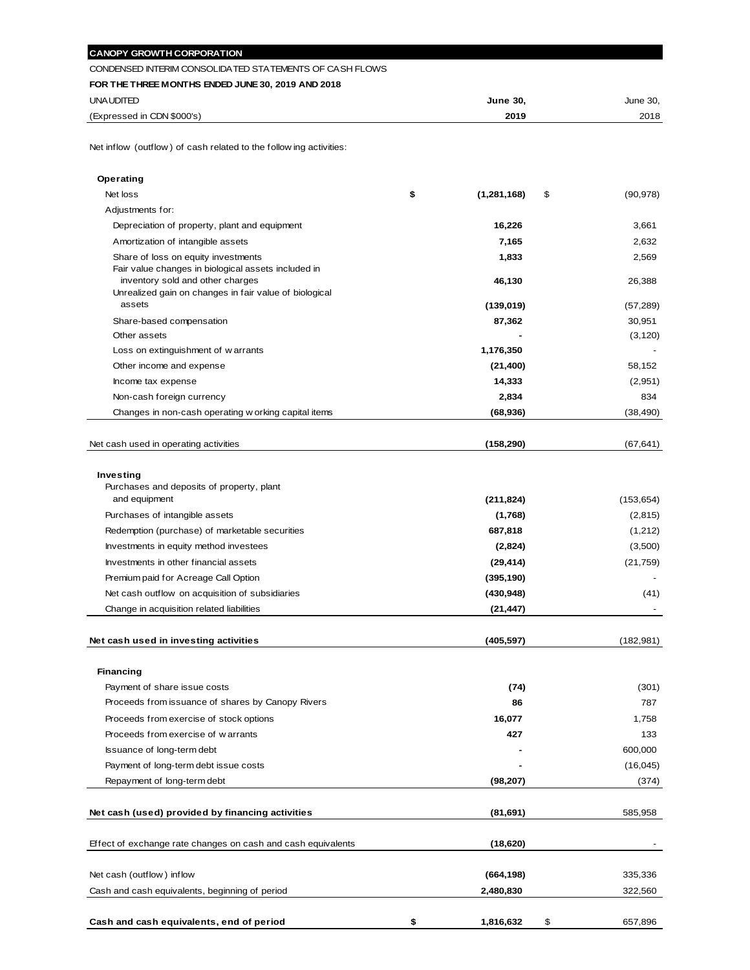| <b>CANOPY GROWTH CORPORATION</b>                                                           |                           |                    |
|--------------------------------------------------------------------------------------------|---------------------------|--------------------|
| CONDENSED INTERIM CONSOLIDATED STATEMENTS OF CASH FLOWS                                    |                           |                    |
| FOR THE THREE MONTHS ENDED JUNE 30, 2019 AND 2018                                          |                           |                    |
| UNA UDITED                                                                                 | June 30,                  | June 30,           |
| (Expressed in CDN \$000's)                                                                 | 2019                      | 2018               |
| Net inflow (outflow) of cash related to the following activities:                          |                           |                    |
| Operating                                                                                  |                           |                    |
| Net loss                                                                                   | \$<br>(1, 281, 168)<br>\$ | (90, 978)          |
| Adjustments for:                                                                           |                           |                    |
| Depreciation of property, plant and equipment                                              | 16,226                    | 3,661              |
| Amortization of intangible assets                                                          | 7,165                     | 2,632              |
| Share of loss on equity investments<br>Fair value changes in biological assets included in | 1,833                     | 2,569              |
| inventory sold and other charges                                                           | 46,130                    | 26,388             |
| Unrealized gain on changes in fair value of biological                                     |                           |                    |
| assets                                                                                     | (139, 019)                | (57, 289)          |
| Share-based compensation<br>Other assets                                                   | 87,362                    | 30,951<br>(3, 120) |
| Loss on extinguishment of warrants                                                         | 1,176,350                 |                    |
| Other income and expense                                                                   | (21, 400)                 | 58,152             |
| Income tax expense                                                                         | 14,333                    | (2,951)            |
| Non-cash foreign currency                                                                  | 2,834                     | 834                |
| Changes in non-cash operating w orking capital items                                       | (68, 936)                 | (38, 490)          |
|                                                                                            |                           |                    |
| Net cash used in operating activities                                                      | (158, 290)                | (67, 641)          |
|                                                                                            |                           |                    |
| Investing                                                                                  |                           |                    |
| Purchases and deposits of property, plant                                                  |                           |                    |
| and equipment                                                                              | (211, 824)                | (153, 654)         |
| Purchases of intangible assets                                                             | (1,768)                   | (2,815)            |
| Redemption (purchase) of marketable securities                                             | 687,818                   | (1,212)            |
| Investments in equity method investees                                                     | (2,824)                   | (3,500)            |
| Investments in other financial assets                                                      | (29, 414)                 | (21, 759)          |
| Premium paid for Acreage Call Option                                                       | (395, 190)                |                    |
| Net cash outflow on acquisition of subsidiaries                                            | (430,948)                 | (41)               |
| Change in acquisition related liabilities                                                  | (21,447)                  |                    |
| Net cash used in investing activities                                                      | (405, 597)                | (182, 981)         |
|                                                                                            |                           |                    |
| <b>Financing</b>                                                                           |                           |                    |
| Payment of share issue costs                                                               | (74)                      | (301)              |
| Proceeds from issuance of shares by Canopy Rivers                                          | 86                        | 787                |
| Proceeds from exercise of stock options                                                    | 16,077                    | 1,758              |
| Proceeds from exercise of warrants                                                         | 427                       | 133                |
| Issuance of long-term debt                                                                 |                           | 600,000            |
| Payment of long-term debt issue costs                                                      |                           | (16,045)           |
| Repayment of long-term debt                                                                | (98,207)                  | (374)              |
| Net cash (used) provided by financing activities                                           | (81,691)                  | 585,958            |
|                                                                                            |                           |                    |
| Effect of exchange rate changes on cash and cash equivalents                               | (18,620)                  |                    |
| Net cash (outflow) inflow                                                                  | (664, 198)                | 335,336            |
| Cash and cash equivalents, beginning of period                                             | 2,480,830                 | 322,560            |
|                                                                                            |                           |                    |
|                                                                                            |                           |                    |

**Cash and cash equivalents, end of period \$ 1,816,632** \$ 657,896